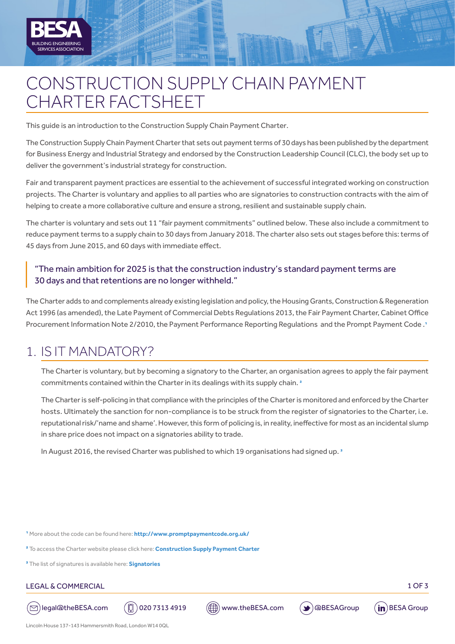

# CONSTRUCTION SUPPLY CHAIN PAYMENT CHARTER FACTSHEET

This guide is an introduction to the Construction Supply Chain Payment Charter.

The Construction Supply Chain Payment Charter that sets out payment terms of 30 days has been published by the department for Business Energy and Industrial Strategy and endorsed by the Construction Leadership Council (CLC), the body set up to deliver the government's industrial strategy for construction.

Fair and transparent payment practices are essential to the achievement of successful integrated working on construction projects. The Charter is voluntary and applies to all parties who are signatories to construction contracts with the aim of helping to create a more collaborative culture and ensure a strong, resilient and sustainable supply chain.

The charter is voluntary and sets out 11 "fair payment commitments" outlined below. These also include a commitment to reduce payment terms to a supply chain to 30 days from January 2018. The charter also sets out stages before this: terms of 45 days from June 2015, and 60 days with immediate effect.

### "The main ambition for 2025 is that the construction industry's standard payment terms are 30 days and that retentions are no longer withheld."

The Charter adds to and complements already existing legislation and policy, the Housing Grants, Construction & Regeneration Act 1996 (as amended), the Late Payment of Commercial Debts Regulations 2013, the Fair Payment Charter, Cabinet Office Procurement Information Note 2/2010, the Payment Performance Reporting Regulations and the Prompt Payment Code .1

### 1. IS IT MANDATORY?

|<br>|<br>|

The Charter is voluntary, but by becoming a signatory to the Charter, an organisation agrees to apply the fair payment commitments contained within the Charter in its dealings with its supply chain.<sup>2</sup>

The Charter is self-policing in that compliance with the principles of the Charter is monitored and enforced by the Charter hosts. Ultimately the sanction for non-compliance is to be struck from the register of signatories to the Charter, i.e. reputational risk/'name and shame'. However, this form of policing is, in reality, ineffective for most as an incidental slump in share price does not impact on a signatories ability to trade.

In August 2016, the revised Charter was published to which 19 organisations had signed up.<sup>3</sup>

1 More about the code can be found here: **http://www.promptpaymentcode.org.uk/**

2 To access the Charter website please click here: **[Construction Supply Payment Charter](http://ppc.promptpaymentcode.org.uk/ppc/cscpc_challenge.a4d)**

3 The list of signatures is available here: **[Signatories](http://ppc.promptpaymentcode.org.uk/ppc/cscpc_signatory.a4d)**

#### LEGAL & COMMERCIAL 2007 2008 12:00 12:00 12:00 12:00 12:00 13:00 13:00 13:00 13:00 13:00 13:00 13:00 13:00 13:00 13:00 13:00 13:00 13:00 13:00 13:00 13:00 13:00 13:00 13:00 13:00 13:00 13:00 13:00 13:00 13:00 13:00 13:00 1







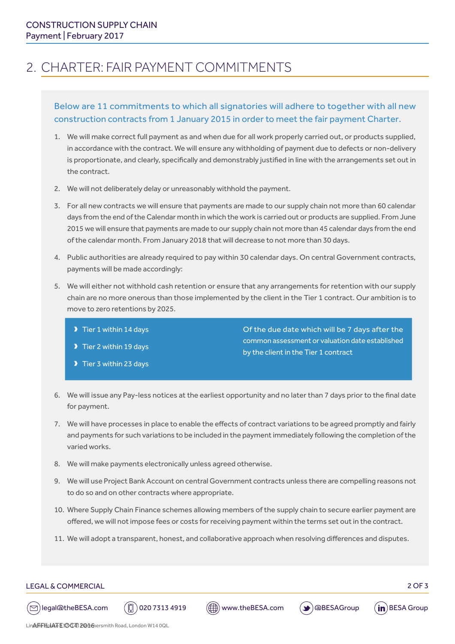# 2. CHARTER: FAIR PAYMENT COMMITMENTS

### Below are 11 commitments to which all signatories will adhere to together with all new construction contracts from 1 January 2015 in order to meet the fair payment Charter.

- 1. We will make correct full payment as and when due for all work properly carried out, or products supplied, in accordance with the contract. We will ensure any withholding of payment due to defects or non-delivery is proportionate, and clearly, specifically and demonstrably justified in line with the arrangements set out in the contract.
- 2. We will not deliberately delay or unreasonably withhold the payment.
- 3. For all new contracts we will ensure that payments are made to our supply chain not more than 60 calendar days from the end of the Calendar month in which the work is carried out or products are supplied. From June 2015 we will ensure that payments are made to our supply chain not more than 45 calendar days from the end of the calendar month. From January 2018 that will decrease to not more than 30 days.
- 4. Public authorities are already required to pay within 30 calendar days. On central Government contracts, payments will be made accordingly:
- 5. We will either not withhold cash retention or ensure that any arrangements for retention with our supply chain are no more onerous than those implemented by the client in the Tier 1 contract. Our ambition is to move to zero retentions by 2025.
	- $\blacktriangleright$  Tier 1 within 14 days
	- D Tier 2 within 19 days
	- $\blacktriangleright$  Tier 3 within 23 days

Of the due date which will be 7 days after the common assessment or valuation date established by the client in the Tier 1 contract

- 6. We will issue any Pay-less notices at the earliest opportunity and no later than 7 days prior to the final date for payment.
- 7. We will have processes in place to enable the effects of contract variations to be agreed promptly and fairly and payments for such variations to be included in the payment immediately following the completion of the varied works.
- 8. We will make payments electronically unless agreed otherwise.
- 9. We will use Project Bank Account on central Government contracts unless there are compelling reasons not to do so and on other contracts where appropriate.
- 10. Where Supply Chain Finance schemes allowing members of the supply chain to secure earlier payment are offered, we will not impose fees or costs for receiving payment within the terms set out in the contract.
- 11. We will adopt a transparent, honest, and collaborative approach when resolving differences and disputes.



LEGAL & COMMERCIAL 2 OF 3

 $(\boxdot)$ legal@theBESA.com  $(\textcircled{\small{\textsf{I}}})$ 020 7313 4919  $(\textcircled{\small{\textsf{I}}})$ www.theBESA.com  $(\blacktriangleright)$ @BESAGroup  $(\text{in})$ BESA Group